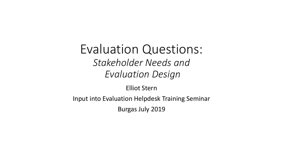Evaluation Questions: *Stakeholder Needs and Evaluation Design*

Elliot Stern

Input into Evaluation Helpdesk Training Seminar

Burgas July 2019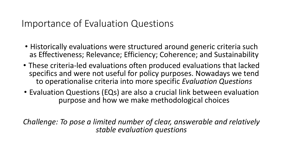## Importance of Evaluation Questions

- Historically evaluations were structured around generic criteria such as Effectiveness; Relevance; Efficiency; Coherence; and Sustainability
- These criteria-led evaluations often produced evaluations that lacked specifics and were not useful for policy purposes. Nowadays we tend to operationalise criteria into more specific *Evaluation Questions*
- Evaluation Questions (EQs) are also a crucial link between evaluation purpose and how we make methodological choices

*Challenge: To pose a limited number of clear, answerable and relatively stable evaluation questions*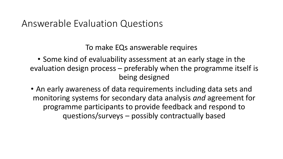#### Answerable Evaluation Questions

To make EQs answerable requires

• Some kind of evaluability assessment at an early stage in the evaluation design process – preferably when the programme itself is being designed

• An early awareness of data requirements including data sets and monitoring systems for secondary data analysis *and* agreement for programme participants to provide feedback and respond to questions/surveys – possibly contractually based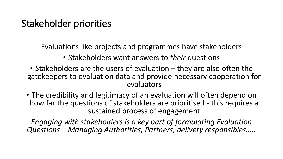## Stakeholder priorities

Evaluations like projects and programmes have stakeholders

- Stakeholders want answers to *their* questions
- Stakeholders are the users of evaluation they are also often the gatekeepers to evaluation data and provide necessary cooperation for evaluators
- The credibility and legitimacy of an evaluation will often depend on how far the questions of stakeholders are prioritised - this requires a sustained process of engagement

*Engaging with stakeholders is a key part of formulating Evaluation Questions – Managing Authorities, Partners, delivery responsibles…..*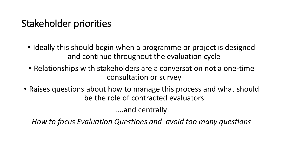# Stakeholder priorities

- Ideally this should begin when a programme or project is designed and continue throughout the evaluation cycle
- Relationships with stakeholders are a conversation not a one-time consultation or survey
- Raises questions about how to manage this process and what should be the role of contracted evaluators

….and centrally

*How to focus Evaluation Questions and avoid too many questions*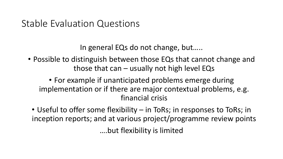#### Stable Evaluation Questions

In general EQs do not change, but…..

• Possible to distinguish between those EQs that cannot change and those that can – usually not high level EQs

• For example if unanticipated problems emerge during implementation or if there are major contextual problems, e.g. financial crisis

• Useful to offer some flexibility – in ToRs; in responses to ToRs; in inception reports; and at various project/programme review points ….but flexibility is limited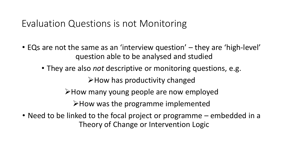#### Evaluation Questions is not Monitoring

- EQs are not the same as an 'interview question' they are 'high-level' question able to be analysed and studied
	- They are also *not* descriptive or monitoring questions, e.g.

How has productivity changed

How many young people are now employed

 $\triangleright$  How was the programme implemented

• Need to be linked to the focal project or programme – embedded in a Theory of Change or Intervention Logic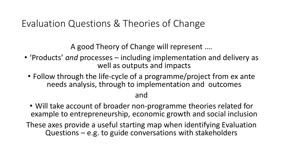# Evaluation Questions & Theories of Change

A good Theory of Change will represent ….

- 'Products' *and* processes including implementation and delivery as well as outputs and impacts
	- Follow through the life-cycle of a programme/project from ex ante needs analysis, through to implementation and outcomes

#### and

- Will take account of broader non-programme theories related for example to entrepreneurship, economic growth and social inclusion
- These axes provide a useful starting map when identifying Evaluation Questions – e.g. to guide conversations with stakeholders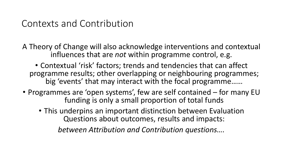#### Contexts and Contribution

A Theory of Change will also acknowledge interventions and contextual influences that are *not* within programme control, e.g.

• Contextual 'risk' factors; trends and tendencies that can affect programme results; other overlapping or neighbouring programmes; big 'events' that may interact with the focal programme……

- Programmes are 'open systems', few are self contained for many EU funding is only a small proportion of total funds
	- This underpins an important distinction between Evaluation Questions about outcomes, results and impacts:

*between Attribution and Contribution questions….*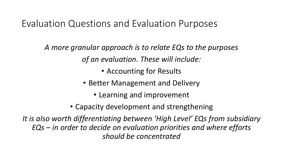# Evaluation Questions and Evaluation Purposes

*A more granular approach is to relate EQs to the purposes of an evaluation. These will include:*

• Accounting for Results

- Better Management and Delivery
	- Learning and improvement
- Capacity development and strengthening

*It is also worth differentiating between 'High Level' EQs from subsidiary EQs – in order to decide on evaluation priorities and where efforts should be concentrated*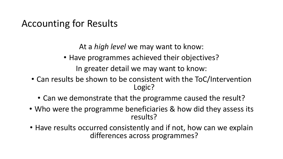# Accounting for Results

- Have programmes achieved their objectives? In greater detail we may want to know:
- Can results be shown to be consistent with the ToC/Intervention Logic?
	- Can we demonstrate that the programme caused the result?
- Who were the programme beneficiaries & how did they assess its results?
- Have results occurred consistently and if not, how can we explain differences across programmes?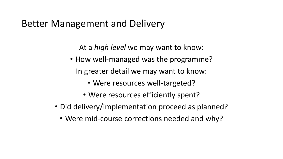#### Better Management and Delivery

- How well-managed was the programme? In greater detail we may want to know:
	- Were resources well-targeted?
	- Were resources efficiently spent?
- Did delivery/implementation proceed as planned?
	- Were mid-course corrections needed and why?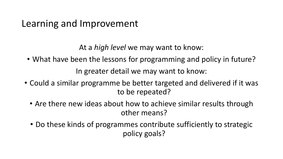## Learning and Improvement

- What have been the lessons for programming and policy in future? In greater detail we may want to know:
- Could a similar programme be better targeted and delivered if it was to be repeated?
	- Are there new ideas about how to achieve similar results through other means?
	- Do these kinds of programmes contribute sufficiently to strategic policy goals?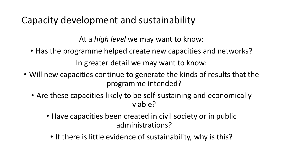# Capacity development and sustainability

- Has the programme helped create new capacities and networks? In greater detail we may want to know:
- Will new capacities continue to generate the kinds of results that the programme intended?
	- Are these capacities likely to be self-sustaining and economically viable?
		- Have capacities been created in civil society or in public administrations?
			- If there is little evidence of sustainability, why is this?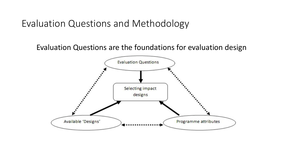Evaluation Questions and Methodology

Evaluation Questions are the foundations for evaluation design

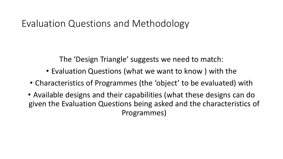#### Evaluation Questions and Methodology

The 'Design Triangle' suggests we need to match:

- Evaluation Questions (what we want to know ) with the
- Characteristics of Programmes (the 'object' to be evaluated) with
- Available designs and their capabilities (what these designs can do given the Evaluation Questions being asked and the characteristics of Programmes)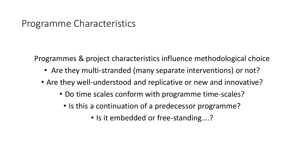#### Programme Characteristics

Programmes & project characteristics influence methodological choice

- Are they multi-stranded (many separate interventions) or not?
- Are they well-understood and replicative or new and innovative?
	- Do time scales conform with programme time-scales?
		- Is this a continuation of a predecessor programme?
			- Is it embedded or free-standing....?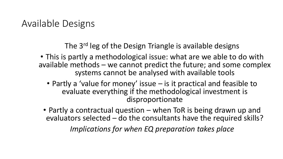## Available Designs

The 3<sup>rd</sup> leg of the Design Triangle is available designs

- This is partly a methodological issue: what are we able to do with available methods – we cannot predict the future; and some complex systems cannot be analysed with available tools
	- Partly a 'value for money' issue is it practical and feasible to evaluate everything if the methodological investment is disproportionate
	- Partly a contractual question when ToR is being drawn up and evaluators selected – do the consultants have the required skills?

*Implications for when EQ preparation takes place*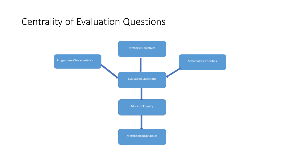## Centrality of Evaluation Questions

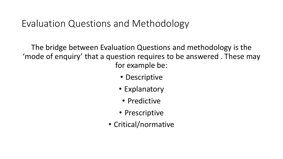## Evaluation Questions and Methodology

The bridge between Evaluation Questions and methodology is the 'mode of enquiry' that a question requires to be answered . These may for example be:

- Descriptive
- Explanatory
	- Predictive
- Prescriptive
- Critical/normative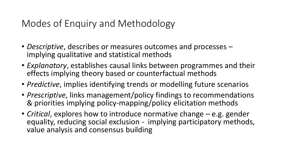# Modes of Enquiry and Methodology

- *Descriptive*, describes or measures outcomes and processes implying qualitative and statistical methods
- *Explanatory*, establishes causal links between programmes and their effects implying theory based or counterfactual methods
- *Predictive*, implies identifying trends or modelling future scenarios
- *Prescriptive*, links management/policy findings to recommendations & priorities implying policy-mapping/policy elicitation methods
- *Critical*, explores how to introduce normative change e.g. gender equality, reducing social exclusion - implying participatory methods, value analysis and consensus building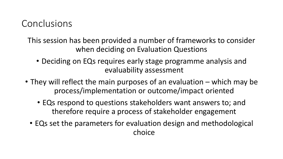## Conclusions

This session has been provided a number of frameworks to consider when deciding on Evaluation Questions

- Deciding on EQs requires early stage programme analysis and evaluability assessment
- They will reflect the main purposes of an evaluation which may be process/implementation or outcome/impact oriented
	- EQs respond to questions stakeholders want answers to; and therefore require a process of stakeholder engagement
	- EQs set the parameters for evaluation design and methodological choice